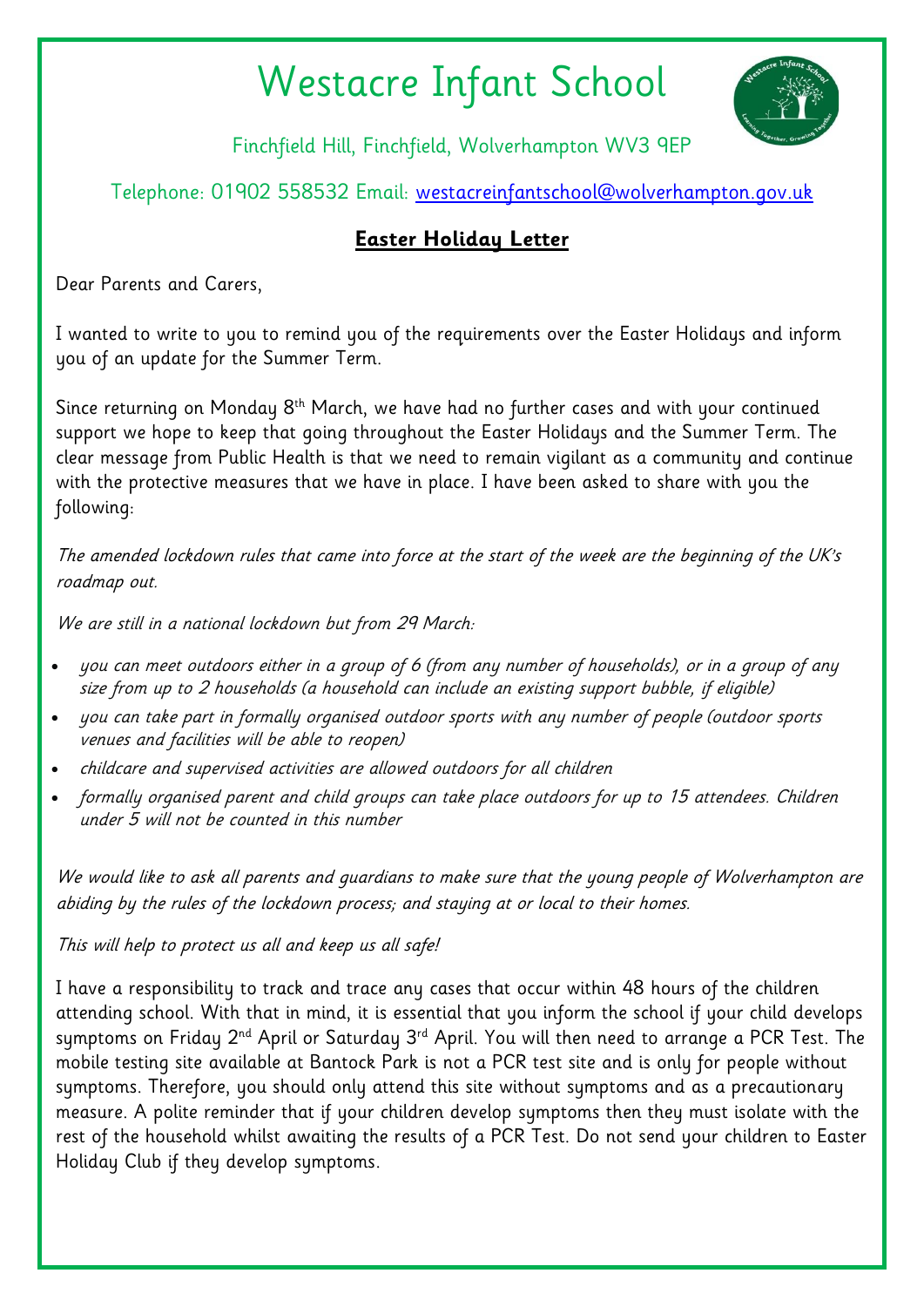## Westacre Infant School



Finchfield Hill, Finchfield, Wolverhampton WV3 9EP

Telephone: 01902 558532 Email: [westacreinfantschool@wolverhampton.gov.uk](mailto:westacreinfantschool@wolverhampton.gov.uk)

## **Easter Holiday Letter**

Dear Parents and Carers,

I wanted to write to you to remind you of the requirements over the Easter Holidays and inform you of an update for the Summer Term.

Since returning on Monday 8<sup>th</sup> March, we have had no further cases and with your continued support we hope to keep that going throughout the Easter Holidays and the Summer Term. The clear message from Public Health is that we need to remain vigilant as a community and continue with the protective measures that we have in place. I have been asked to share with you the following:

The amended lockdown rules that came into force at the start of the week are the beginning of the UK's roadmap out.

We are still in a national lockdown but from 29 March:

- you can meet outdoors either in a group of 6 (from any number of households), or in a group of any size from up to 2 households (a household can include an existing support bubble, if eligible)
- you can take part in formally organised outdoor sports with any number of people (outdoor sports venues and facilities will be able to reopen)
- childcare and supervised activities are allowed outdoors for all children
- formally organised parent and child groups can take place outdoors for up to 15 attendees. Children under 5 will not be counted in this number

We would like to ask all parents and guardians to make sure that the young people of Wolverhampton are abiding by the rules of the lockdown process; and staying at or local to their homes.

This will help to protect us all and keep us all safe!

I have a responsibility to track and trace any cases that occur within 48 hours of the children attending school. With that in mind, it is essential that you inform the school if your child develops symptoms on Friday  $2^{nd}$  April or Saturday  $3^{rd}$  April. You will then need to arrange a PCR Test. The mobile testing site available at Bantock Park is not a PCR test site and is only for people without symptoms. Therefore, you should only attend this site without symptoms and as a precautionary measure. A polite reminder that if your children develop symptoms then they must isolate with the rest of the household whilst awaiting the results of a PCR Test. Do not send your children to Easter Holiday Club if they develop symptoms.